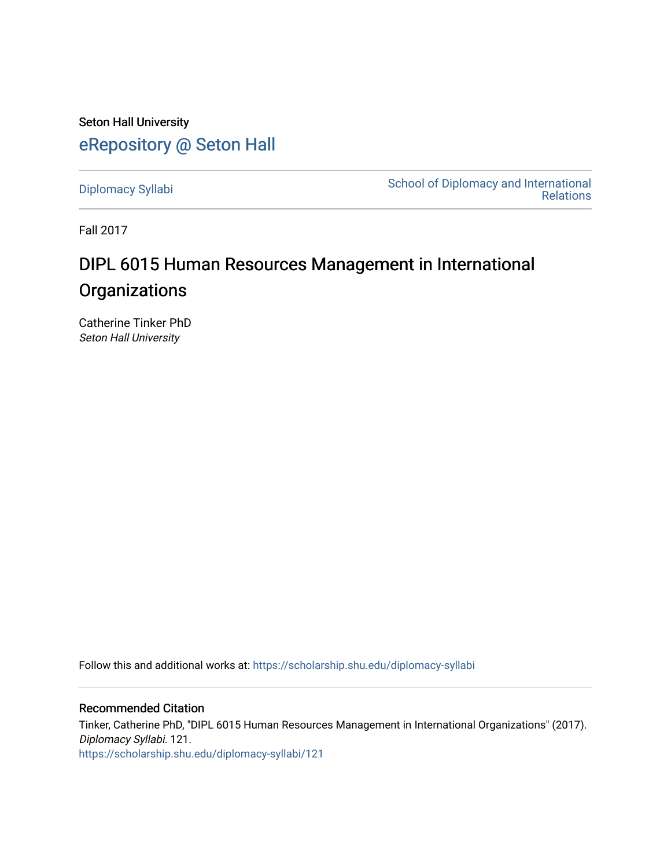Seton Hall University [eRepository @ Seton Hall](https://scholarship.shu.edu/)

[Diplomacy Syllabi](https://scholarship.shu.edu/diplomacy-syllabi) [School of Diplomacy and International](https://scholarship.shu.edu/diplomacy)  [Relations](https://scholarship.shu.edu/diplomacy) 

Fall 2017

# DIPL 6015 Human Resources Management in International **Organizations**

Catherine Tinker PhD Seton Hall University

Follow this and additional works at: [https://scholarship.shu.edu/diplomacy-syllabi](https://scholarship.shu.edu/diplomacy-syllabi?utm_source=scholarship.shu.edu%2Fdiplomacy-syllabi%2F121&utm_medium=PDF&utm_campaign=PDFCoverPages) 

Recommended Citation Tinker, Catherine PhD, "DIPL 6015 Human Resources Management in International Organizations" (2017). Diplomacy Syllabi. 121. [https://scholarship.shu.edu/diplomacy-syllabi/121](https://scholarship.shu.edu/diplomacy-syllabi/121?utm_source=scholarship.shu.edu%2Fdiplomacy-syllabi%2F121&utm_medium=PDF&utm_campaign=PDFCoverPages)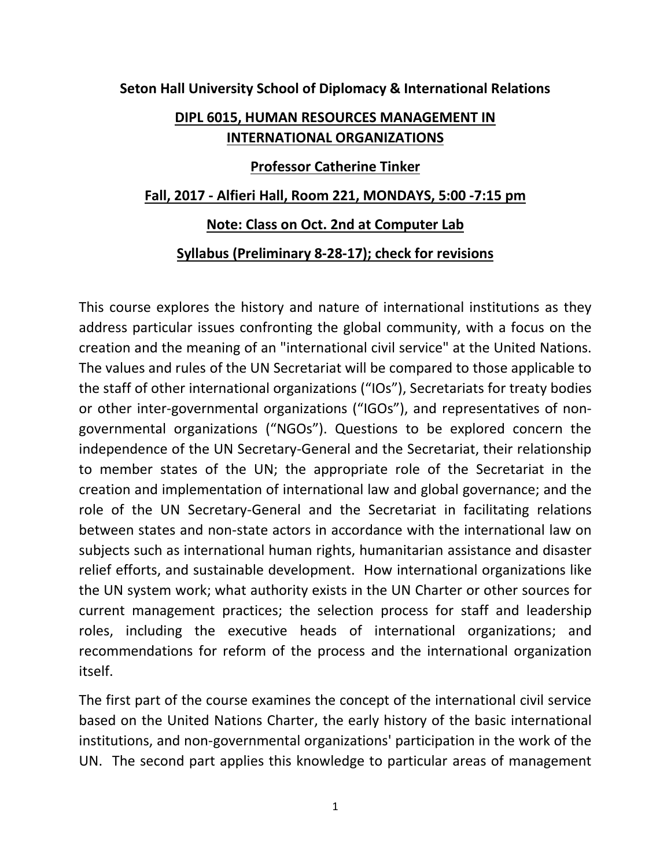**Seton Hall University School of Diplomacy & International Relations**

## **DIPL 6015, HUMAN RESOURCES MANAGEMENT IN INTERNATIONAL ORGANIZATIONS**

## **Professor Catherine Tinker**

## **Fall, 2017 - Alfieri Hall, Room 221, MONDAYS, 5:00 -7:15 pm**

## **Note: Class on Oct. 2nd at Computer Lab**

#### **Syllabus (Preliminary 8-28-17); check for revisions**

This course explores the history and nature of international institutions as they address particular issues confronting the global community, with a focus on the creation and the meaning of an "international civil service" at the United Nations. The values and rules of the UN Secretariat will be compared to those applicable to the staff of other international organizations ("IOs"), Secretariats for treaty bodies or other inter-governmental organizations ("IGOs"), and representatives of nongovernmental organizations ("NGOs"). Questions to be explored concern the independence of the UN Secretary-General and the Secretariat, their relationship to member states of the UN; the appropriate role of the Secretariat in the creation and implementation of international law and global governance; and the role of the UN Secretary-General and the Secretariat in facilitating relations between states and non-state actors in accordance with the international law on subjects such as international human rights, humanitarian assistance and disaster relief efforts, and sustainable development. How international organizations like the UN system work; what authority exists in the UN Charter or other sources for current management practices; the selection process for staff and leadership roles, including the executive heads of international organizations; and recommendations for reform of the process and the international organization itself.

The first part of the course examines the concept of the international civil service based on the United Nations Charter, the early history of the basic international institutions, and non-governmental organizations' participation in the work of the UN. The second part applies this knowledge to particular areas of management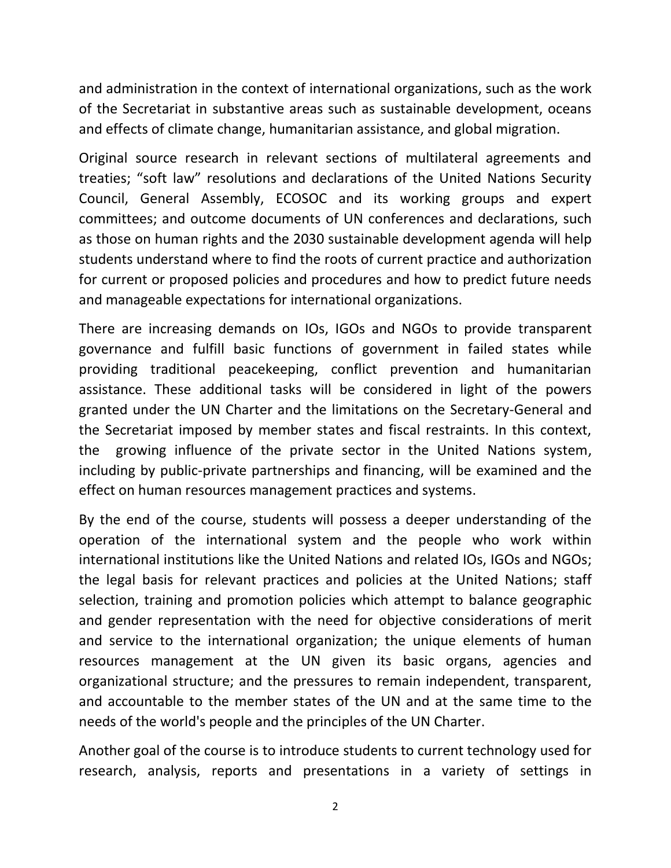and administration in the context of international organizations, such as the work of the Secretariat in substantive areas such as sustainable development, oceans and effects of climate change, humanitarian assistance, and global migration.

Original source research in relevant sections of multilateral agreements and treaties; "soft law" resolutions and declarations of the United Nations Security Council, General Assembly, ECOSOC and its working groups and expert committees; and outcome documents of UN conferences and declarations, such as those on human rights and the 2030 sustainable development agenda will help students understand where to find the roots of current practice and authorization for current or proposed policies and procedures and how to predict future needs and manageable expectations for international organizations.

There are increasing demands on IOs, IGOs and NGOs to provide transparent governance and fulfill basic functions of government in failed states while providing traditional peacekeeping, conflict prevention and humanitarian assistance. These additional tasks will be considered in light of the powers granted under the UN Charter and the limitations on the Secretary-General and the Secretariat imposed by member states and fiscal restraints. In this context, the growing influence of the private sector in the United Nations system, including by public-private partnerships and financing, will be examined and the effect on human resources management practices and systems.

By the end of the course, students will possess a deeper understanding of the operation of the international system and the people who work within international institutions like the United Nations and related IOs, IGOs and NGOs; the legal basis for relevant practices and policies at the United Nations; staff selection, training and promotion policies which attempt to balance geographic and gender representation with the need for objective considerations of merit and service to the international organization; the unique elements of human resources management at the UN given its basic organs, agencies and organizational structure; and the pressures to remain independent, transparent, and accountable to the member states of the UN and at the same time to the needs of the world's people and the principles of the UN Charter.

Another goal of the course is to introduce students to current technology used for research, analysis, reports and presentations in a variety of settings in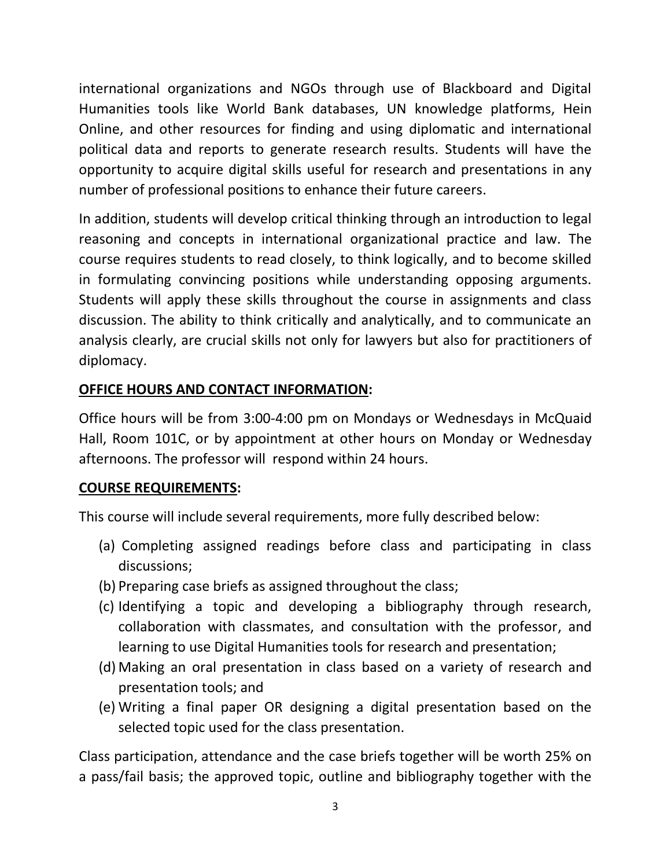international organizations and NGOs through use of Blackboard and Digital Humanities tools like World Bank databases, UN knowledge platforms, Hein Online, and other resources for finding and using diplomatic and international political data and reports to generate research results. Students will have the opportunity to acquire digital skills useful for research and presentations in any number of professional positions to enhance their future careers.

In addition, students will develop critical thinking through an introduction to legal reasoning and concepts in international organizational practice and law. The course requires students to read closely, to think logically, and to become skilled in formulating convincing positions while understanding opposing arguments. Students will apply these skills throughout the course in assignments and class discussion. The ability to think critically and analytically, and to communicate an analysis clearly, are crucial skills not only for lawyers but also for practitioners of diplomacy.

## **OFFICE HOURS AND CONTACT INFORMATION:**

Office hours will be from 3:00-4:00 pm on Mondays or Wednesdays in McQuaid Hall, Room 101C, or by appointment at other hours on Monday or Wednesday afternoons. The professor will respond within 24 hours.

## **COURSE REQUIREMENTS:**

This course will include several requirements, more fully described below:

- (a) Completing assigned readings before class and participating in class discussions;
- (b) Preparing case briefs as assigned throughout the class;
- (c) Identifying a topic and developing a bibliography through research, collaboration with classmates, and consultation with the professor, and learning to use Digital Humanities tools for research and presentation;
- (d) Making an oral presentation in class based on a variety of research and presentation tools; and
- (e) Writing a final paper OR designing a digital presentation based on the selected topic used for the class presentation.

Class participation, attendance and the case briefs together will be worth 25% on a pass/fail basis; the approved topic, outline and bibliography together with the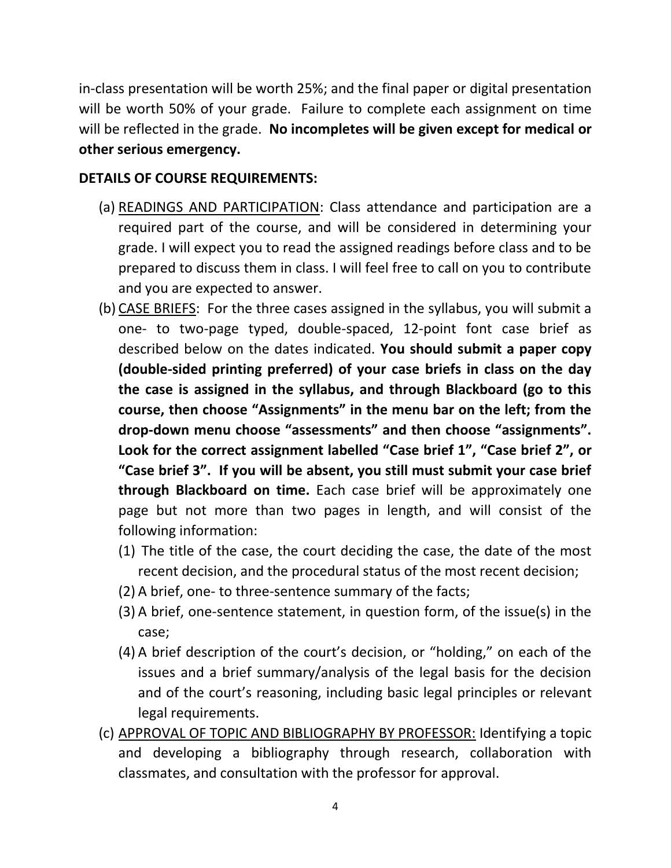in-class presentation will be worth 25%; and the final paper or digital presentation will be worth 50% of your grade. Failure to complete each assignment on time will be reflected in the grade. **No incompletes will be given except for medical or other serious emergency.**

## **DETAILS OF COURSE REQUIREMENTS:**

- (a) READINGS AND PARTICIPATION: Class attendance and participation are a required part of the course, and will be considered in determining your grade. I will expect you to read the assigned readings before class and to be prepared to discuss them in class. I will feel free to call on you to contribute and you are expected to answer.
- (b) CASE BRIEFS: For the three cases assigned in the syllabus, you will submit a one- to two-page typed, double-spaced, 12-point font case brief as described below on the dates indicated. **You should submit a paper copy (double-sided printing preferred) of your case briefs in class on the day the case is assigned in the syllabus, and through Blackboard (go to this course, then choose "Assignments" in the menu bar on the left; from the drop-down menu choose "assessments" and then choose "assignments". Look for the correct assignment labelled "Case brief 1", "Case brief 2", or "Case brief 3". If you will be absent, you still must submit your case brief through Blackboard on time.** Each case brief will be approximately one page but not more than two pages in length, and will consist of the following information:
	- (1) The title of the case, the court deciding the case, the date of the most recent decision, and the procedural status of the most recent decision;
	- (2) A brief, one- to three-sentence summary of the facts;
	- (3) A brief, one-sentence statement, in question form, of the issue(s) in the case;
	- (4) A brief description of the court's decision, or "holding," on each of the issues and a brief summary/analysis of the legal basis for the decision and of the court's reasoning, including basic legal principles or relevant legal requirements.
- (c) APPROVAL OF TOPIC AND BIBLIOGRAPHY BY PROFESSOR: Identifying a topic and developing a bibliography through research, collaboration with classmates, and consultation with the professor for approval.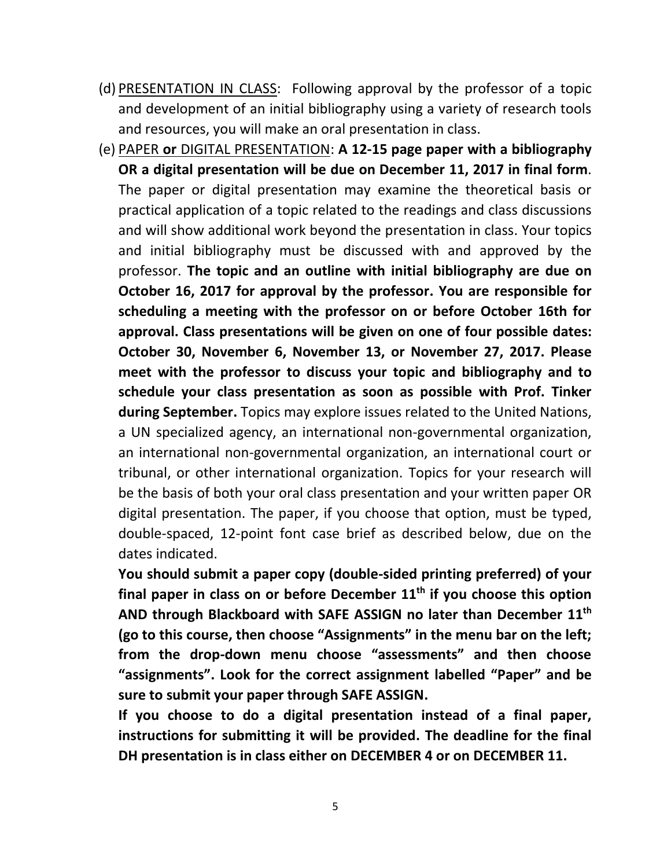- (d) PRESENTATION IN CLASS: Following approval by the professor of a topic and development of an initial bibliography using a variety of research tools and resources, you will make an oral presentation in class.
- (e) PAPER **or** DIGITAL PRESENTATION: **A 12-15 page paper with a bibliography OR a digital presentation will be due on December 11, 2017 in final form**. The paper or digital presentation may examine the theoretical basis or practical application of a topic related to the readings and class discussions and will show additional work beyond the presentation in class. Your topics and initial bibliography must be discussed with and approved by the professor. **The topic and an outline with initial bibliography are due on October 16, 2017 for approval by the professor. You are responsible for scheduling a meeting with the professor on or before October 16th for approval. Class presentations will be given on one of four possible dates: October 30, November 6, November 13, or November 27, 2017. Please meet with the professor to discuss your topic and bibliography and to schedule your class presentation as soon as possible with Prof. Tinker during September.** Topics may explore issues related to the United Nations, a UN specialized agency, an international non-governmental organization, an international non-governmental organization, an international court or tribunal, or other international organization. Topics for your research will be the basis of both your oral class presentation and your written paper OR digital presentation. The paper, if you choose that option, must be typed, double-spaced, 12-point font case brief as described below, due on the dates indicated.

**You should submit a paper copy (double-sided printing preferred) of your final paper in class on or before December 11th if you choose this option AND through Blackboard with SAFE ASSIGN no later than December 11th (go to this course, then choose "Assignments" in the menu bar on the left; from the drop-down menu choose "assessments" and then choose "assignments". Look for the correct assignment labelled "Paper" and be sure to submit your paper through SAFE ASSIGN.** 

**If you choose to do a digital presentation instead of a final paper, instructions for submitting it will be provided. The deadline for the final DH presentation is in class either on DECEMBER 4 or on DECEMBER 11.**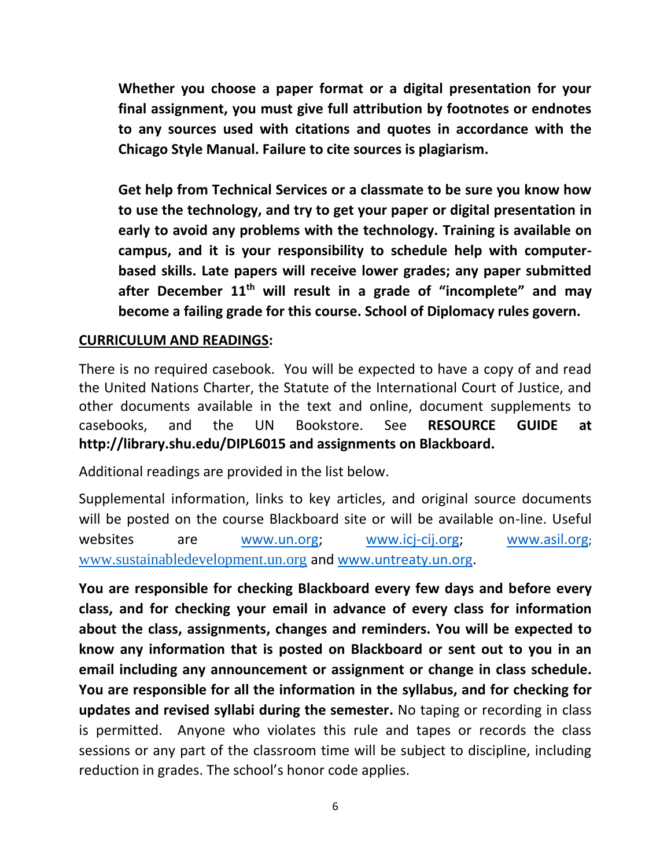**Whether you choose a paper format or a digital presentation for your final assignment, you must give full attribution by footnotes or endnotes to any sources used with citations and quotes in accordance with the Chicago Style Manual. Failure to cite sources is plagiarism.**

**Get help from Technical Services or a classmate to be sure you know how to use the technology, and try to get your paper or digital presentation in early to avoid any problems with the technology. Training is available on campus, and it is your responsibility to schedule help with computerbased skills. Late papers will receive lower grades; any paper submitted after December 11th will result in a grade of "incomplete" and may become a failing grade for this course. School of Diplomacy rules govern.**

#### **CURRICULUM AND READINGS:**

There is no required casebook. You will be expected to have a copy of and read the United Nations Charter, the Statute of the International Court of Justice, and other documents available in the text and online, document supplements to casebooks, and the UN Bookstore. See **RESOURCE GUIDE at http://library.shu.edu/DIPL6015 and assignments on Blackboard.**

Additional readings are provided in the list below.

Supplemental information, links to key articles, and original source documents will be posted on the course Blackboard site or will be available on-line. Useful websites are [www.un.org;](http://www.un.org/) [www.icj-cij.org;](http://www.icj-cij.org/) [www.asil.org](http://www.asil.org/); [www.sustainabledevelopment.un.org](http://www.sustainabledevelopment.un.org/) and [www.untreaty.un.org.](http://www.untreaty.un.org/)

**You are responsible for checking Blackboard every few days and before every class, and for checking your email in advance of every class for information about the class, assignments, changes and reminders. You will be expected to know any information that is posted on Blackboard or sent out to you in an email including any announcement or assignment or change in class schedule. You are responsible for all the information in the syllabus, and for checking for updates and revised syllabi during the semester.** No taping or recording in class is permitted. Anyone who violates this rule and tapes or records the class sessions or any part of the classroom time will be subject to discipline, including reduction in grades. The school's honor code applies.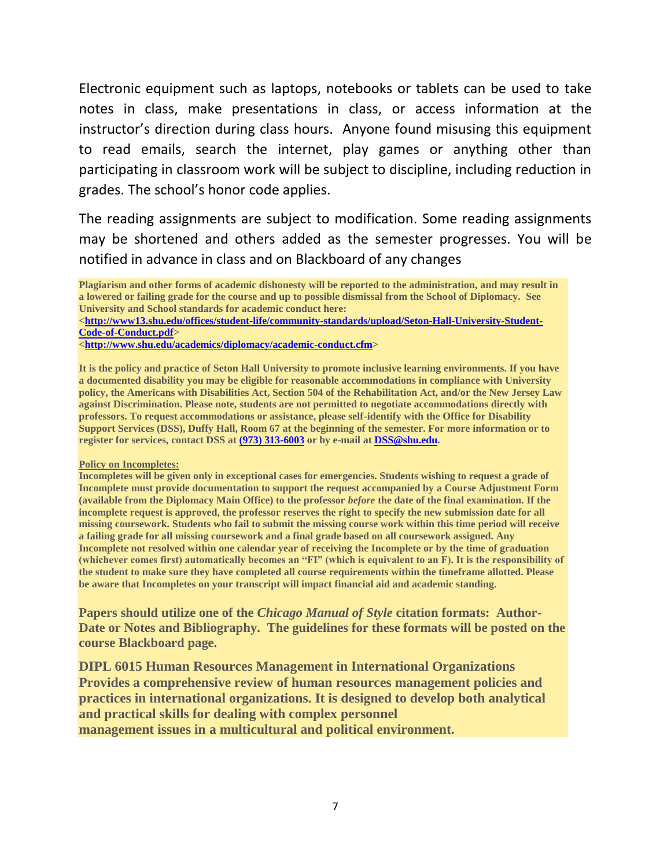Electronic equipment such as laptops, notebooks or tablets can be used to take notes in class, make presentations in class, or access information at the instructor's direction during class hours. Anyone found misusing this equipment to read emails, search the internet, play games or anything other than participating in classroom work will be subject to discipline, including reduction in grades. The school's honor code applies.

The reading assignments are subject to modification. Some reading assignments may be shortened and others added as the semester progresses. You will be notified in advance in class and on Blackboard of any changes

**Plagiarism and other forms of academic dishonesty will be reported to the administration, and may result in a lowered or failing grade for the course and up to possible dismissal from the School of Diplomacy. See University and School standards for academic conduct here:**

[<http://www13.shu.edu/offices/student-life/community-standards/upload/Seton-Hall-University-Student-](https://na01.safelinks.protection.outlook.com/?url=http%3a%2f%2fwww13.shu.edu%2foffices%2fstudent-life%2fcommunity-standards%2fupload%2fSeton-Hall-University-Student-Code-of-Conduct.pdf&data=01%7c01%7chugh.dugan%40shu.edu%7c8cdb630fb3b84931545508d3bfb2d687%7c51f07c2253b744dfb97ca13261d71075%7c1&sdata=sabYtC9%2b86aNrniMNmig62VcA%2fjrBao2yeGCqPFl3x8%3d)**[Code-of-Conduct.pdf>](https://na01.safelinks.protection.outlook.com/?url=http%3a%2f%2fwww13.shu.edu%2foffices%2fstudent-life%2fcommunity-standards%2fupload%2fSeton-Hall-University-Student-Code-of-Conduct.pdf&data=01%7c01%7chugh.dugan%40shu.edu%7c8cdb630fb3b84931545508d3bfb2d687%7c51f07c2253b744dfb97ca13261d71075%7c1&sdata=sabYtC9%2b86aNrniMNmig62VcA%2fjrBao2yeGCqPFl3x8%3d)**

**[<http://www.shu.edu/academics/diplomacy/academic-conduct.cfm>](http://www.shu.edu/academics/diplomacy/academic-conduct.cfm)**

**It is the policy and practice of Seton Hall University to promote inclusive learning environments. If you have a documented disability you may be eligible for reasonable accommodations in compliance with University policy, the Americans with Disabilities Act, Section 504 of the Rehabilitation Act, and/or the New Jersey Law against Discrimination. Please note, students are not permitted to negotiate accommodations directly with professors. To request accommodations or assistance, please self-identify with the Office for Disability Support Services (DSS), Duffy Hall, Room 67 at the beginning of the semester. For more information or to register for services, contact DSS at [\(973\) 313-6003](tel:(973)%20313-6003) or by e-mail at [DSS@shu.edu.](mailto:DSS@shu.edu)**

#### **Policy on Incompletes:**

**Incompletes will be given only in exceptional cases for emergencies. Students wishing to request a grade of Incomplete must provide documentation to support the request accompanied by a Course Adjustment Form (available from the Diplomacy Main Office) to the professor** *before* **the date of the final examination. If the incomplete request is approved, the professor reserves the right to specify the new submission date for all missing coursework. Students who fail to submit the missing course work within this time period will receive a failing grade for all missing coursework and a final grade based on all coursework assigned. Any Incomplete not resolved within one calendar year of receiving the Incomplete or by the time of graduation (whichever comes first) automatically becomes an "FI" (which is equivalent to an F). It is the responsibility of the student to make sure they have completed all course requirements within the timeframe allotted. Please be aware that Incompletes on your transcript will impact financial aid and academic standing.**

**Papers should utilize one of the** *Chicago Manual of Style* **citation formats: Author-Date or Notes and Bibliography. The guidelines for these formats will be posted on the course Blackboard page.**

**DIPL 6015 Human Resources Management in International Organizations Provides a comprehensive review of human resources management policies and practices in international organizations. It is designed to develop both analytical and practical skills for dealing with complex personnel management issues in a multicultural and political environment.**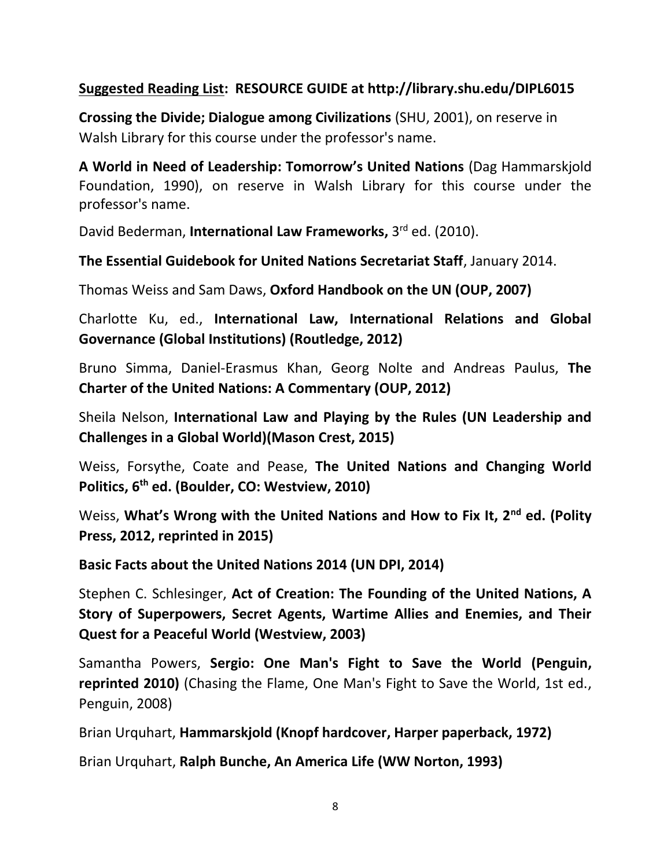## **Suggested Reading List: RESOURCE GUIDE at http://library.shu.edu/DIPL6015**

**Crossing the Divide; Dialogue among Civilizations** (SHU, 2001), on reserve in Walsh Library for this course under the professor's name.

**A World in Need of Leadership: Tomorrow's United Nations** (Dag Hammarskjold Foundation, 1990), on reserve in Walsh Library for this course under the professor's name.

David Bederman, **International Law Frameworks,** 3 rd ed. (2010).

**The Essential Guidebook for United Nations Secretariat Staff**, January 2014.

Thomas Weiss and Sam Daws, **Oxford Handbook on the UN (OUP, 2007)**

Charlotte Ku, ed., **International Law, International Relations and Global Governance (Global Institutions) (Routledge, 2012)**

Bruno Simma, Daniel-Erasmus Khan, Georg Nolte and Andreas Paulus, **The Charter of the United Nations: A Commentary (OUP, 2012)**

Sheila Nelson, **International Law and Playing by the Rules (UN Leadership and Challenges in a Global World)(Mason Crest, 2015)**

Weiss, Forsythe, Coate and Pease, **The United Nations and Changing World Politics, 6th ed. (Boulder, CO: Westview, 2010)**

Weiss, **What's Wrong with the United Nations and How to Fix It, 2nd ed. (Polity Press, 2012, reprinted in 2015)**

**Basic Facts about the United Nations 2014 (UN DPI, 2014)**

Stephen C. Schlesinger, **Act of Creation: The Founding of the United Nations, A Story of Superpowers, Secret Agents, Wartime Allies and Enemies, and Their Quest for a Peaceful World (Westview, 2003)**

Samantha Powers, **Sergio: One Man's Fight to Save the World (Penguin, reprinted 2010)** (Chasing the Flame, One Man's Fight to Save the World, 1st ed., Penguin, 2008)

Brian Urquhart, **Hammarskjold (Knopf hardcover, Harper paperback, 1972)**

Brian Urquhart, **Ralph Bunche, An America Life (WW Norton, 1993)**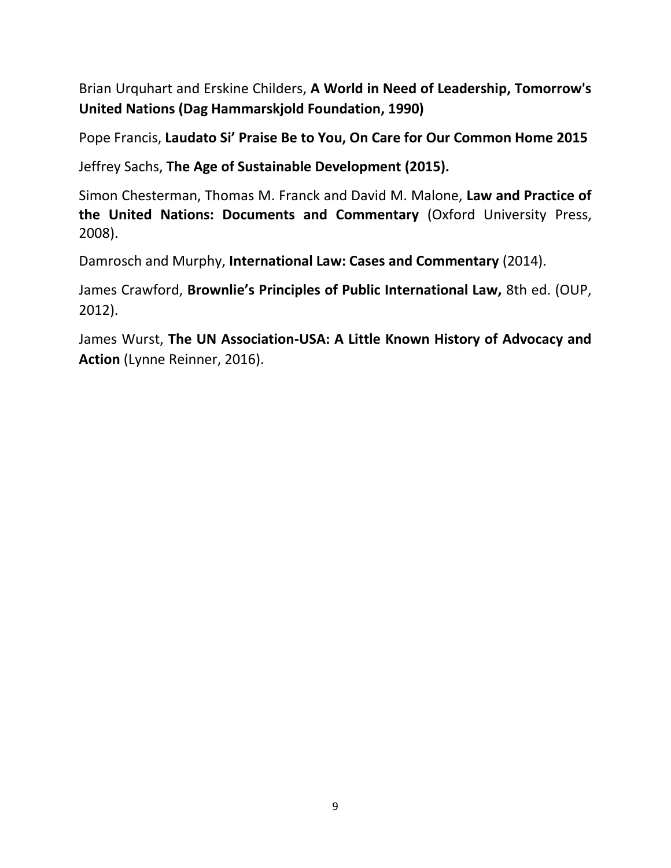Brian Urquhart and Erskine Childers, **A World in Need of Leadership, Tomorrow's United Nations (Dag Hammarskjold Foundation, 1990)**

Pope Francis, **Laudato Si' Praise Be to You, On Care for Our Common Home 2015**

Jeffrey Sachs, **The Age of Sustainable Development (2015).**

Simon Chesterman, Thomas M. Franck and David M. Malone, **Law and Practice of the United Nations: Documents and Commentary** (Oxford University Press, 2008).

Damrosch and Murphy, **International Law: Cases and Commentary** (2014).

James Crawford, **Brownlie's Principles of Public International Law,** 8th ed. (OUP, 2012).

James Wurst, **The UN Association-USA: A Little Known History of Advocacy and Action** (Lynne Reinner, 2016).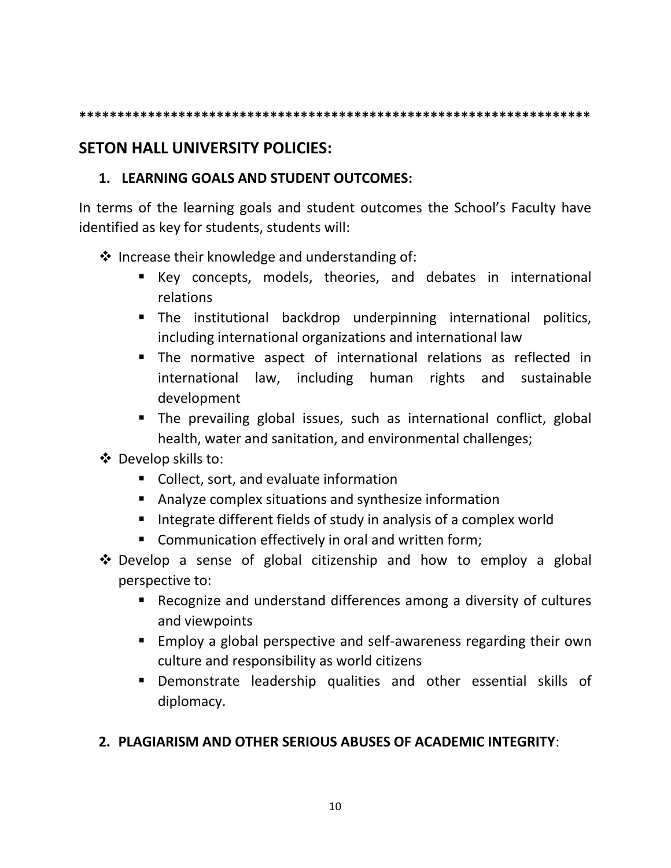**\*\*\*\*\*\*\*\*\*\*\*\*\*\*\*\*\*\*\*\*\*\*\*\*\*\*\*\*\*\*\*\*\*\*\*\*\*\*\*\*\*\*\*\*\*\*\*\*\*\*\*\*\*\*\*\*\*\*\*\*\*\*\*\*\*\*\***

## **SETON HALL UNIVERSITY POLICIES:**

## **1. LEARNING GOALS AND STUDENT OUTCOMES:**

In terms of the learning goals and student outcomes the School's Faculty have identified as key for students, students will:

- ❖ Increase their knowledge and understanding of:
	- Key concepts, models, theories, and debates in international relations
	- **The institutional backdrop underpinning international politics,** including international organizations and international law
	- The normative aspect of international relations as reflected in international law, including human rights and sustainable development
	- The prevailing global issues, such as international conflict, global health, water and sanitation, and environmental challenges;
- ❖ Develop skills to:
	- Collect, sort, and evaluate information
	- Analyze complex situations and synthesize information
	- Integrate different fields of study in analysis of a complex world
	- Communication effectively in oral and written form;
- ❖ Develop a sense of global citizenship and how to employ a global perspective to:
	- Recognize and understand differences among a diversity of cultures and viewpoints
	- Employ a global perspective and self-awareness regarding their own culture and responsibility as world citizens
	- Demonstrate leadership qualities and other essential skills of diplomacy.

## **2. PLAGIARISM AND OTHER SERIOUS ABUSES OF ACADEMIC INTEGRITY**: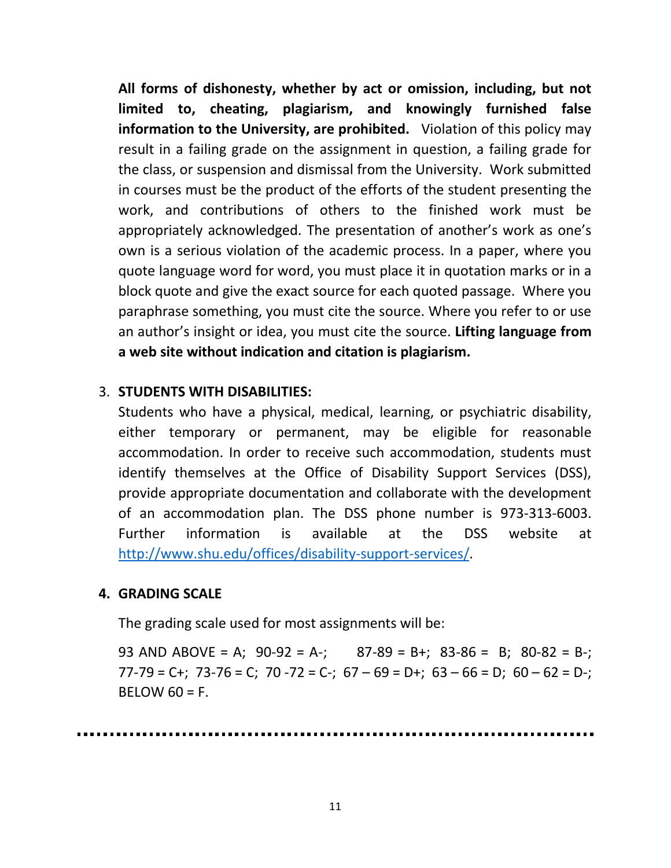**All forms of dishonesty, whether by act or omission, including, but not limited to, cheating, plagiarism, and knowingly furnished false information to the University, are prohibited.** Violation of this policy may result in a failing grade on the assignment in question, a failing grade for the class, or suspension and dismissal from the University. Work submitted in courses must be the product of the efforts of the student presenting the work, and contributions of others to the finished work must be appropriately acknowledged. The presentation of another's work as one's own is a serious violation of the academic process. In a paper, where you quote language word for word, you must place it in quotation marks or in a block quote and give the exact source for each quoted passage. Where you paraphrase something, you must cite the source. Where you refer to or use an author's insight or idea, you must cite the source. **Lifting language from a web site without indication and citation is plagiarism.**

#### 3. **STUDENTS WITH DISABILITIES:**

Students who have a physical, medical, learning, or psychiatric disability, either temporary or permanent, may be eligible for reasonable accommodation. In order to receive such accommodation, students must identify themselves at the Office of Disability Support Services (DSS), provide appropriate documentation and collaborate with the development of an accommodation plan. The DSS phone number is 973-313-6003. Further information is available at the DSS website at [http://www.shu.edu/offices/disability-support-services/.](http://www.shu.edu/offices/disability-support-services/)

#### **4. GRADING SCALE**

The grading scale used for most assignments will be:

93 AND ABOVE = A;  $90-92 = A$ -; 87-89 = B+; 83-86 = B; 80-82 = B-;  $77-79 = C+$ ;  $73-76 = C$ ;  $70-72 = C-$ ;  $67-69 = D+$ ;  $63-66 = D$ ;  $60-62 = D-$ ;  $BELOW 60 = F.$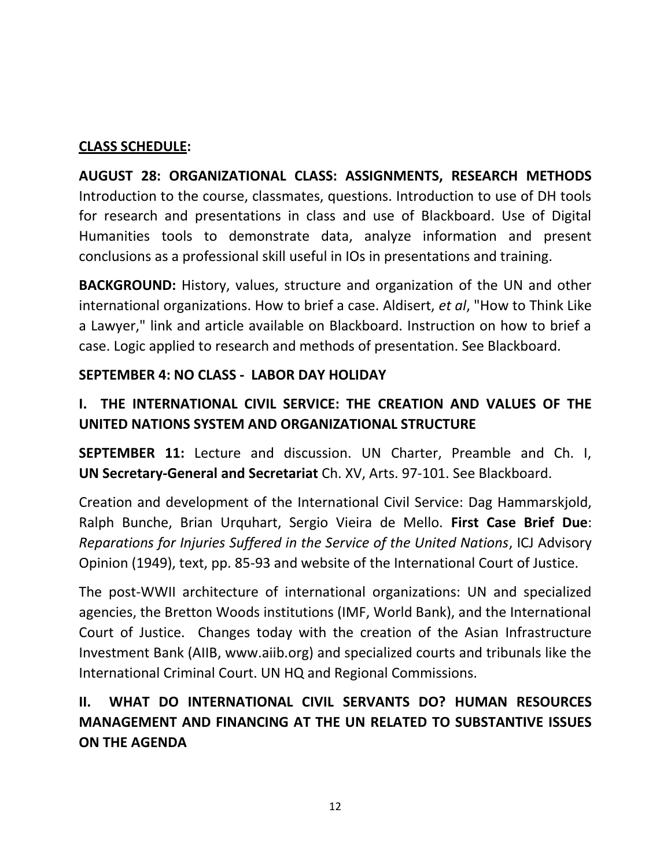## **CLASS SCHEDULE:**

**AUGUST 28: ORGANIZATIONAL CLASS: ASSIGNMENTS, RESEARCH METHODS**  Introduction to the course, classmates, questions. Introduction to use of DH tools for research and presentations in class and use of Blackboard. Use of Digital Humanities tools to demonstrate data, analyze information and present conclusions as a professional skill useful in IOs in presentations and training.

**BACKGROUND:** History, values, structure and organization of the UN and other international organizations. How to brief a case. Aldisert, *et al*, "How to Think Like a Lawyer," link and article available on Blackboard. Instruction on how to brief a case. Logic applied to research and methods of presentation. See Blackboard.

## **SEPTEMBER 4: NO CLASS - LABOR DAY HOLIDAY**

## **I. THE INTERNATIONAL CIVIL SERVICE: THE CREATION AND VALUES OF THE UNITED NATIONS SYSTEM AND ORGANIZATIONAL STRUCTURE**

**SEPTEMBER 11:** Lecture and discussion. UN Charter, Preamble and Ch. I, **UN Secretary-General and Secretariat** Ch. XV, Arts. 97-101. See Blackboard.

Creation and development of the International Civil Service: Dag Hammarskjold, Ralph Bunche, Brian Urquhart, Sergio Vieira de Mello. **First Case Brief Due**: *Reparations for Injuries Suffered in the Service of the United Nations*, ICJ Advisory Opinion (1949), text, pp. 85-93 and website of the International Court of Justice.

The post-WWII architecture of international organizations: UN and specialized agencies, the Bretton Woods institutions (IMF, World Bank), and the International Court of Justice. Changes today with the creation of the Asian Infrastructure Investment Bank (AIIB, www.aiib.org) and specialized courts and tribunals like the International Criminal Court. UN HQ and Regional Commissions.

## **II. WHAT DO INTERNATIONAL CIVIL SERVANTS DO? HUMAN RESOURCES MANAGEMENT AND FINANCING AT THE UN RELATED TO SUBSTANTIVE ISSUES ON THE AGENDA**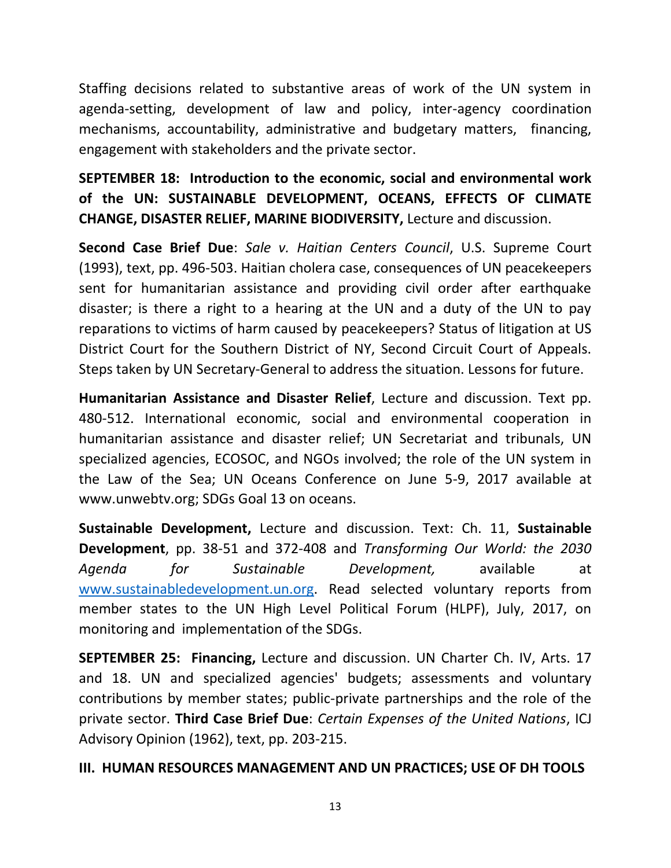Staffing decisions related to substantive areas of work of the UN system in agenda-setting, development of law and policy, inter-agency coordination mechanisms, accountability, administrative and budgetary matters, financing, engagement with stakeholders and the private sector.

**SEPTEMBER 18: Introduction to the economic, social and environmental work of the UN: SUSTAINABLE DEVELOPMENT, OCEANS, EFFECTS OF CLIMATE CHANGE, DISASTER RELIEF, MARINE BIODIVERSITY,** Lecture and discussion.

**Second Case Brief Due**: *Sale v. Haitian Centers Council*, U.S. Supreme Court (1993), text, pp. 496-503. Haitian cholera case, consequences of UN peacekeepers sent for humanitarian assistance and providing civil order after earthquake disaster; is there a right to a hearing at the UN and a duty of the UN to pay reparations to victims of harm caused by peacekeepers? Status of litigation at US District Court for the Southern District of NY, Second Circuit Court of Appeals. Steps taken by UN Secretary-General to address the situation. Lessons for future.

**Humanitarian Assistance and Disaster Relief**, Lecture and discussion. Text pp. 480-512. International economic, social and environmental cooperation in humanitarian assistance and disaster relief; UN Secretariat and tribunals, UN specialized agencies, ECOSOC, and NGOs involved; the role of the UN system in the Law of the Sea; UN Oceans Conference on June 5-9, 2017 available at www.unwebtv.org; SDGs Goal 13 on oceans.

**Sustainable Development,** Lecture and discussion. Text: Ch. 11, **Sustainable Development**, pp. 38-51 and 372-408 and *Transforming Our World: the 2030 Agenda for Sustainable Development,* available at [www.sustainabledevelopment.un.org.](http://www.sustainabledevelopment.un.org/) Read selected voluntary reports from member states to the UN High Level Political Forum (HLPF), July, 2017, on monitoring and implementation of the SDGs.

**SEPTEMBER 25: Financing,** Lecture and discussion. UN Charter Ch. IV, Arts. 17 and 18. UN and specialized agencies' budgets; assessments and voluntary contributions by member states; public-private partnerships and the role of the private sector. **Third Case Brief Due**: *Certain Expenses of the United Nations*, ICJ Advisory Opinion (1962), text, pp. 203-215.

## **III. HUMAN RESOURCES MANAGEMENT AND UN PRACTICES; USE OF DH TOOLS**